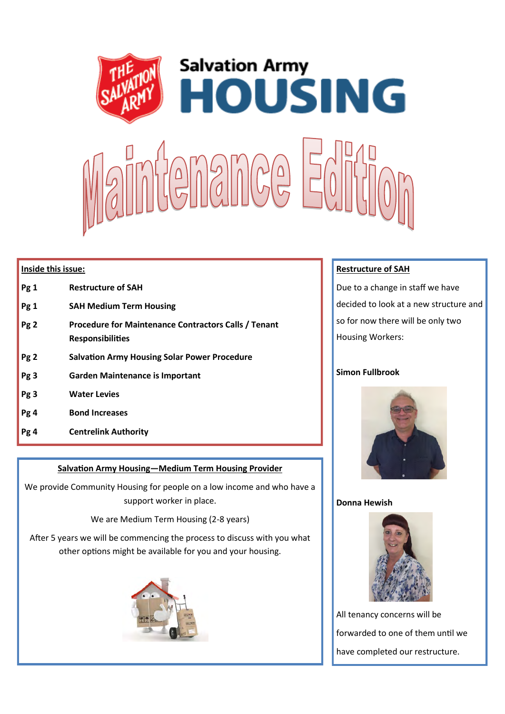

### **Inside this issue:**

- **Pg 1 Restructure of SAH**
- **Pg 1 SAH Medium Term Housing**
- **Pg 2 Procedure for Maintenance Contractors Calls / Tenant Responsibilities**
- **Pg 2 Salvation Army Housing Solar Power Procedure**
- **Pg 3 Garden Maintenance is Important**
- **Pg 3 Water Levies**
- **Pg 4 Bond Increases**
- **Pg 4 Centrelink Authority**

### **Salvation Army Housing—Medium Term Housing Provider**

We provide Community Housing for people on a low income and who have a support worker in place.

We are Medium Term Housing (2-8 years)

After 5 years we will be commencing the process to discuss with you what other options might be available for you and your housing.



### **Restructure of SAH**

Due to a change in staff we have decided to look at a new structure and so for now there will be only two Housing Workers:

### **Simon Fullbrook**



### **Donna Hewish**



All tenancy concerns will be forwarded to one of them until we have completed our restructure.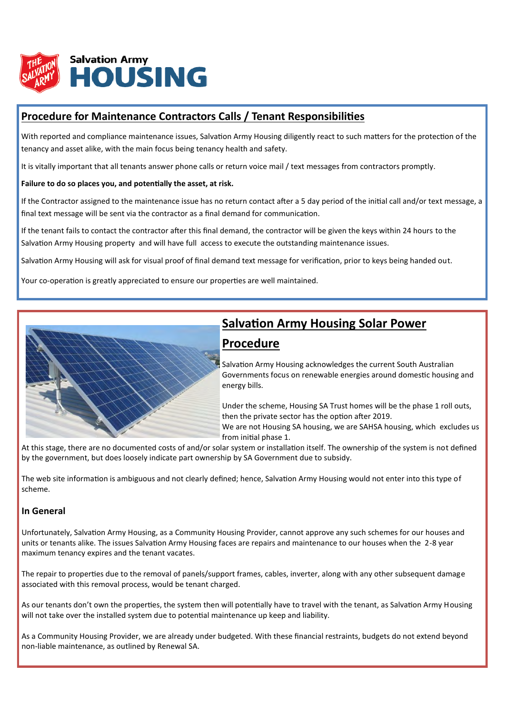

## **Procedure for Maintenance Contractors Calls / Tenant Responsibilities**

With reported and compliance maintenance issues, Salvation Army Housing diligently react to such matters for the protection of the tenancy and asset alike, with the main focus being tenancy health and safety.

It is vitally important that all tenants answer phone calls or return voice mail / text messages from contractors promptly.

### **Failure to do so places you, and potentially the asset, at risk.**

If the Contractor assigned to the maintenance issue has no return contact after a 5 day period of the initial call and/or text message, a final text message will be sent via the contractor as a final demand for communication.

If the tenant fails to contact the contractor after this final demand, the contractor will be given the keys within 24 hours to the Salvation Army Housing property and will have full access to execute the outstanding maintenance issues.

Salvation Army Housing will ask for visual proof of final demand text message for verification, prior to keys being handed out.

Your co-operation is greatly appreciated to ensure our properties are well maintained.



## **Salvation Army Housing Solar Power Procedure**

Salvation Army Housing acknowledges the current South Australian Governments focus on renewable energies around domestic housing and energy bills.

Under the scheme, Housing SA Trust homes will be the phase 1 roll outs, then the private sector has the option after 2019.

We are not Housing SA housing, we are SAHSA housing, which excludes us from initial phase 1.

At this stage, there are no documented costs of and/or solar system or installation itself. The ownership of the system is not defined by the government, but does loosely indicate part ownership by SA Government due to subsidy.

The web site information is ambiguous and not clearly defined; hence, Salvation Army Housing would not enter into this type of scheme.

### **In General**

Unfortunately, Salvation Army Housing, as a Community Housing Provider, cannot approve any such schemes for our houses and units or tenants alike. The issues Salvation Army Housing faces are repairs and maintenance to our houses when the 2-8 year maximum tenancy expires and the tenant vacates.

The repair to properties due to the removal of panels/support frames, cables, inverter, along with any other subsequent damage associated with this removal process, would be tenant charged.

As our tenants don't own the properties, the system then will potentially have to travel with the tenant, as Salvation Army Housing will not take over the installed system due to potential maintenance up keep and liability.

As a Community Housing Provider, we are already under budgeted. With these financial restraints, budgets do not extend beyond non-liable maintenance, as outlined by Renewal SA.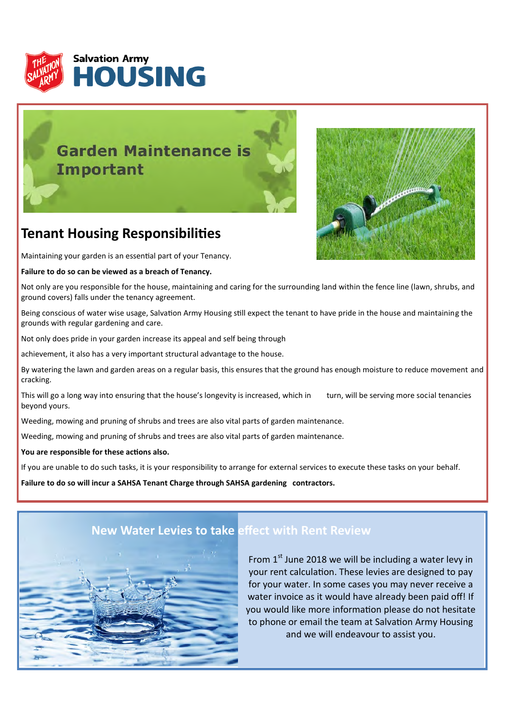

# **Garden Maintenance is Important**



# **Tenant Housing Responsibilities**

Maintaining your garden is an essential part of your Tenancy.

### **Failure to do so can be viewed as a breach of Tenancy.**

Not only are you responsible for the house, maintaining and caring for the surrounding land within the fence line (lawn, shrubs, and ground covers) falls under the tenancy agreement.

Being conscious of water wise usage, Salvation Army Housing still expect the tenant to have pride in the house and maintaining the grounds with regular gardening and care.

Not only does pride in your garden increase its appeal and self being through

achievement, it also has a very important structural advantage to the house.

By watering the lawn and garden areas on a regular basis, this ensures that the ground has enough moisture to reduce movement and cracking.

This will go a long way into ensuring that the house's longevity is increased, which in turn, will be serving more social tenancies beyond yours.

Weeding, mowing and pruning of shrubs and trees are also vital parts of garden maintenance.

Weeding, mowing and pruning of shrubs and trees are also vital parts of garden maintenance.

### **You are responsible for these actions also.**

If you are unable to do such tasks, it is your responsibility to arrange for external services to execute these tasks on your behalf.

**Failure to do so will incur a SAHSA Tenant Charge through SAHSA gardening contractors.**



## **New Water Levies to take effect with Rent Review**

From  $1<sup>st</sup>$  June 2018 we will be including a water levy in your rent calculation. These levies are designed to pay for your water. In some cases you may never receive a water invoice as it would have already been paid off! If you would like more information please do not hesitate to phone or email the team at Salvation Army Housing and we will endeavour to assist you.